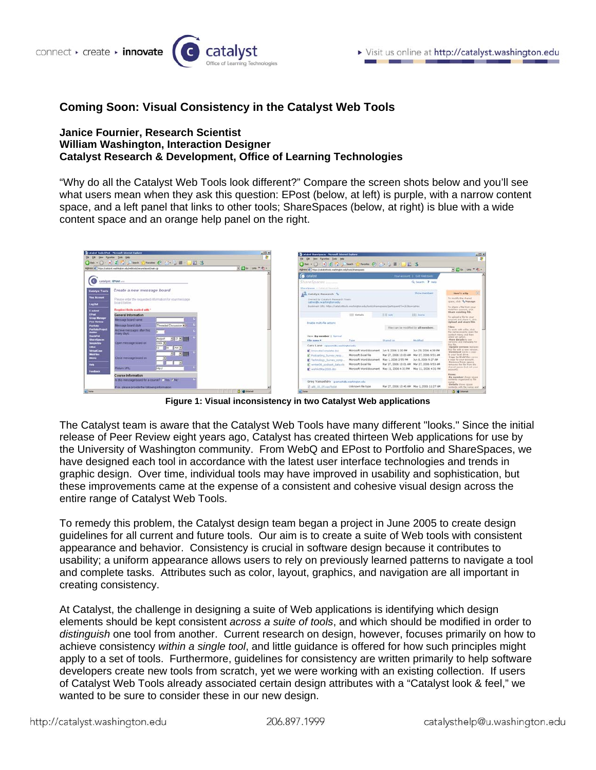

# **Coming Soon: Visual Consistency in the Catalyst Web Tools**

#### **Janice Fournier, Research Scientist William Washington, Interaction Designer Catalyst Research & Development, Office of Learning Technologies**

"Why do all the Catalyst Web Tools look different?" Compare the screen shots below and you'll see what users mean when they ask this question: EPost (below, at left) is purple, with a narrow content space, and a left panel that links to other tools; ShareSpaces (below, at right) is blue with a wide content space and an orange help panel on the right.

| Catalyst Tools (Fest - Microsoft Internet Explorer                                                                | $\frac{1}{2}$<br><b>AP</b> | $\frac{1}{2}$<br>Catalout ShareSpaces - Microsoft Internet Equipment                            |                                                                    |                                            |                               |                                                                                      |
|-------------------------------------------------------------------------------------------------------------------|----------------------------|-------------------------------------------------------------------------------------------------|--------------------------------------------------------------------|--------------------------------------------|-------------------------------|--------------------------------------------------------------------------------------|
| ES: two Faractes field two                                                                                        |                            | the Life time Favorine Look the                                                                 |                                                                    |                                            |                               | 28                                                                                   |
| <b>One - 〇 - 8 日 合 Risen Sylvenia ④ Circl ヨ - 口辺 さ</b>                                                            |                            | <b>○hai - ○ - 8 日 合 Jihann 宮 meter ④ こ- - - 田 - 口以 古</b>                                        |                                                                    |                                            |                               |                                                                                      |
| Address 45 https://catalvir.washington.edu/webtook/secure/eposit/man.cg                                           | $-3$ ( $-14$ ) $-14$       | Address 47 Nitps://cataly-stocks.madergrouv.adulticalciature.com/                               |                                                                    |                                            |                               | $-24$ $-14$                                                                          |
|                                                                                                                   |                            | <b>O</b> catalyst                                                                               |                                                                    |                                            | Your account 1 Exit Web tools |                                                                                      |
| catalyst: EPost                                                                                                   |                            | ShareSpaces import                                                                              |                                                                    |                                            | Q Search 7 Help               |                                                                                      |
| Create a new message board<br><b>Catalyst Tools</b>                                                               |                            | ShareSpaces > Calalco Research                                                                  |                                                                    |                                            |                               |                                                                                      |
|                                                                                                                   |                            | than Catalyst Responsiv                                                                         |                                                                    |                                            | Show members                  | Merc's a No.                                                                         |
| <b>Your Account</b><br>Please erder the miquested information for your message.<br>board below.<br><b>Lag Out</b> |                            | Dwned by Catalyst Research Team<br>tatrecity, washington, edu-                                  |                                                                    |                                            |                               | To modify the shared<br>toxis, click % Hansage                                       |
| Required fields marked with "<br><b>Explored</b>                                                                  |                            | Bookmark 1251   Mora //cataly Modd are Nington adultonic/share concellent mann/5 = 2538p=catres |                                                                    |                                            |                               | To share a file from your<br>Waldley account plan<br>there existing file.            |
| (Past)<br>General Information                                                                                     |                            |                                                                                                 | <b>ELE</b> Details                                                 | 三三 List                                    | 111 itoms                     | To spinal a Ne to your                                                               |
| <b>Group Manager</b><br>Message board name<br><b>Past Review</b>                                                  |                            |                                                                                                 |                                                                    |                                            |                               | sympath and share A. click<br>Upload and share fite.                                 |
| Threeded Discussion ><br>Message board style<br>Partfolio                                                         |                            | Enable multi-file actions                                                                       |                                                                    | First cars be modified by all members.     |                               | Files:                                                                               |
| <b>Portfolio Propert</b><br>Archive messages after this<br><b>Balder</b><br><b>Dysbiyon</b>                       |                            |                                                                                                 |                                                                    |                                            |                               | To work with a file, click<br>the Awhig Josep by Aban the<br>needs bow unant fundron |
| <b>Database</b><br>回の回用<br>August<br><b>Unanciators</b>                                                           |                            | View: By member   Normal                                                                        |                                                                    |                                            |                               | celest an extern.<br>View details to see                                             |
| Open miessage board on:<br><b>Compánition</b><br>2006 =                                                           |                            | File name *                                                                                     | Typic                                                              | <b>Shared on</b>                           | Modified.                     | carsions and maticiata for<br>thus file.                                             |
| <b>Littled</b><br>$AM =$<br>F(x)                                                                                  |                            | Cara Lane reacondo exclusion els                                                                |                                                                    |                                            |                               | Update version restaure<br>his file mith a new version                               |
| <b>VirtualCose</b><br>可回国<br>WebFilms                                                                             |                            | <b>B</b> InnovateConglista.doc                                                                  | Mizrosoft Word document 3un 9, 2006 1:30 PM<br>Murgeoft Excel file | Mar 27, 2006 10:00 AM Mar 27, 2006 9:51 AM | 3un 29, 2006 4:39 PM          | Determined verses a more<br>to your letal drive.                                     |
| Close message board on<br><b>Winted</b>                                                                           |                            | <b>B</b> Podcasting Survey resp.                                                                | Microsoft Word document Nav 1, 2006 2:55 PM 3un 8, 2006 9:27 AM    |                                            |                               | Copy to WebFiles saves<br>a more to your account.                                    |
|                                                                                                                   |                            | Technology Survey comp.<br>C wrter06 podcast data.six                                           | Microsoft Excel file                                               | Mar 27, 2006 10:01 AM Mar 27, 2006 9:53 AM |                               | Bences from some<br>removes the file from the                                        |
| <b>Hotel</b><br>Telum URL<br><b>Difficult</b>                                                                     |                            | C wishletNay2008.doc                                                                            | Microsoft Word document May 11, 2006 4:31 PM May 11, 2006 4:31 PM  |                                            |                               | shared space (but not your                                                           |
| <b>Familiance</b>                                                                                                 |                            |                                                                                                 |                                                                    |                                            |                               | arranged b.                                                                          |
| Course Information                                                                                                |                            |                                                                                                 |                                                                    |                                            |                               | <b>Figures</b><br>the member shows space                                             |
| Is this message board for a course? Ch'es G No-                                                                   |                            | Greg Yamashiro granani@c=achington.edu                                                          |                                                                    |                                            |                               | contents organized by file                                                           |
| If yo, please provide the following information.                                                                  |                            | 2 alle 15 05 sai fodat                                                                          | Uningwit file type                                                 | Mar 27, 2006 10:45 AM May 1, 2006 11:27 AM |                               | details show space<br>contents with tile hame and  In-                               |

**Figure 1: Visual inconsistency in two Catalyst Web applications** 

The Catalyst team is aware that the Catalyst Web Tools have many different "looks." Since the initial release of Peer Review eight years ago, Catalyst has created thirteen Web applications for use by the University of Washington community. From WebQ and EPost to Portfolio and ShareSpaces, we have designed each tool in accordance with the latest user interface technologies and trends in graphic design. Over time, individual tools may have improved in usability and sophistication, but these improvements came at the expense of a consistent and cohesive visual design across the entire range of Catalyst Web Tools.

To remedy this problem, the Catalyst design team began a project in June 2005 to create design guidelines for all current and future tools. Our aim is to create a suite of Web tools with consistent appearance and behavior. Consistency is crucial in software design because it contributes to usability; a uniform appearance allows users to rely on previously learned patterns to navigate a tool and complete tasks. Attributes such as color, layout, graphics, and navigation are all important in creating consistency.

At Catalyst, the challenge in designing a suite of Web applications is identifying which design elements should be kept consistent *across a suite of tools*, and which should be modified in order to *distinguish* one tool from another. Current research on design, however, focuses primarily on how to achieve consistency *within a single tool*, and little guidance is offered for how such principles might apply to a set of tools. Furthermore, guidelines for consistency are written primarily to help software developers create new tools from scratch, yet we were working with an existing collection. If users of Catalyst Web Tools already associated certain design attributes with a "Catalyst look & feel," we wanted to be sure to consider these in our new design.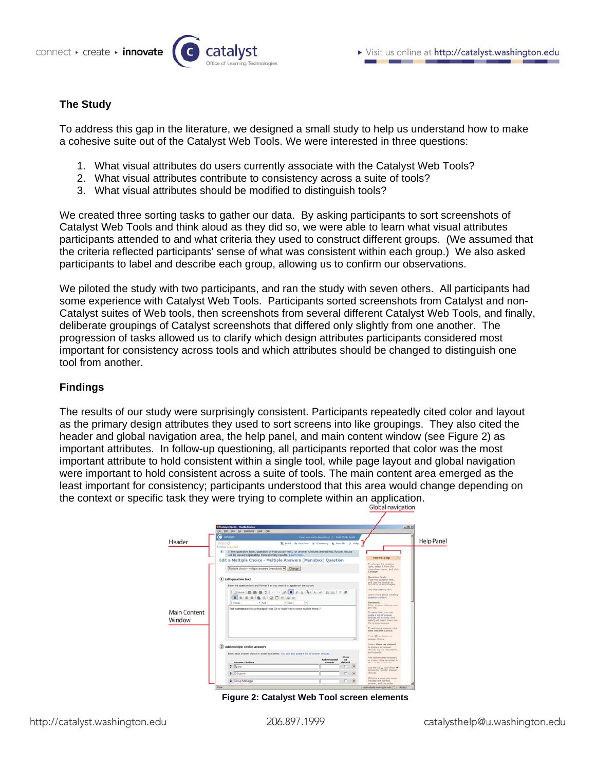

## **The Study**

To address this gap in the literature, we designed a small study to help us understand how to make a cohesive suite out of the Catalyst Web Tools. We were interested in three questions:

- 1. What visual attributes do users currently associate with the Catalyst Web Tools?
- 2. What visual attributes contribute to consistency across a suite of tools?
- 3. What visual attributes should be modified to distinguish tools?

We created three sorting tasks to gather our data. By asking participants to sort screenshots of Catalyst Web Tools and think aloud as they did so, we were able to learn what visual attributes participants attended to and what criteria they used to construct different groups. (We assumed that the criteria reflected participants' sense of what was consistent within each group.) We also asked participants to label and describe each group, allowing us to confirm our observations.

We piloted the study with two participants, and ran the study with seven others. All participants had some experience with Catalyst Web Tools. Participants sorted screenshots from Catalyst and non-Catalyst suites of Web tools, then screenshots from several different Catalyst Web Tools, and finally, deliberate groupings of Catalyst screenshots that differed only slightly from one another. The progression of tasks allowed us to clarify which design attributes participants considered most important for consistency across tools and which attributes should be changed to distinguish one tool from another.

### **Findings**

The results of our study were surprisingly consistent. Participants repeatedly cited color and layout as the primary design attributes they used to sort screens into like groupings. They also cited the header and global navigation area, the help panel, and main content window (see Figure 2) as important attributes. In follow-up questioning, all participants reported that color was the most important attribute to hold consistent within a single tool, while page layout and global navigation were important to hold consistent across a suite of tools. The main content area emerged as the least important for consistency; participants understood that this area would change depending on the context or specific task they were trying to complete within an application.

| n(2)<br>Cicatalyst WebQ - Months Firefox<br>EM SAT SWH SA SHARAHA SHAR EMD<br><b>O</b> catalyst<br>Your account (scumby)   Ent Web tods<br><b>Help Panel</b><br>Header<br>WebO<br>X bald A Preview 32 Summary & Results 7 Help<br><b>FIRENCE Fold Inhand</b><br>(4) If the question type, question or instruction text, or answer choices are edited, future results<br>will be saved separately from existing results. Learn more,<br>Here's a tip<br>Edit a Multiple Choice - Multiple Answers (Menubox) Question<br>To change the question<br>type, select it from the<br>Multiple choice - multiple answers (menubox) = Change<br>drep-down mans; and plot-<br>Chasse.<br><b>Ouestion text:</b><br>(1) Edit question text<br>Type the question best.<br>and use the limiter to:<br>format it or add images.<br>Enter the question text and format it as you want it to appear on the survey.<br>Get help pasting test.<br>Sheel B B B 2   c c 2   B J B b c 1   E E   F R<br>Learn more about creating<br>suestion content.<br>8 0 0 1 3 4 W<br>u<br>Forest<br>$+$ Fort<br>$+15m$<br><b>Research</b><br>Estar annunc choices, son<br>part line.<br>Fool or project (select all that apply-use Ctrl or AppleThey to select multiple items) ?<br>Main Content<br>To neve time, you can<br>pasts a list of answer<br>choices all at once, and<br>Window<br>WebC will insert Ham oder<br>the answer spaces.<br>To add more special, clob<br>now assurer choice.<br>Click (C to delete an)<br>wrawer photos.<br>Seism Show as default<br>(2) Add multiple choice answers<br>to display an answer<br>chaines as pre-telected to<br><b>JATHEMAN,</b><br>Enter each answer choice in a text lice below. You can also pasts a lot of answer choices.<br>Show<br>Add attireviated answers<br>Abbreviated<br>$-44$<br>or ended in his requiried in<br><b>Answer choices</b><br>default<br>answer<br>the results Exetional's<br>E<br>$\infty$<br>tion the up as will down w |  |  |  |  | Global navigation           |  |
|---------------------------------------------------------------------------------------------------------------------------------------------------------------------------------------------------------------------------------------------------------------------------------------------------------------------------------------------------------------------------------------------------------------------------------------------------------------------------------------------------------------------------------------------------------------------------------------------------------------------------------------------------------------------------------------------------------------------------------------------------------------------------------------------------------------------------------------------------------------------------------------------------------------------------------------------------------------------------------------------------------------------------------------------------------------------------------------------------------------------------------------------------------------------------------------------------------------------------------------------------------------------------------------------------------------------------------------------------------------------------------------------------------------------------------------------------------------------------------------------------------------------------------------------------------------------------------------------------------------------------------------------------------------------------------------------------------------------------------------------------------------------------------------------------------------------------------------------------------------------------------------------------------------------------------------------------------------------|--|--|--|--|-----------------------------|--|
|                                                                                                                                                                                                                                                                                                                                                                                                                                                                                                                                                                                                                                                                                                                                                                                                                                                                                                                                                                                                                                                                                                                                                                                                                                                                                                                                                                                                                                                                                                                                                                                                                                                                                                                                                                                                                                                                                                                                                                     |  |  |  |  |                             |  |
| m.<br>phones.<br>$E$ Submit<br>$\infty$                                                                                                                                                                                                                                                                                                                                                                                                                                                                                                                                                                                                                                                                                                                                                                                                                                                                                                                                                                                                                                                                                                                                                                                                                                                                                                                                                                                                                                                                                                                                                                                                                                                                                                                                                                                                                                                                                                                             |  |  |  |  | arrows to recycler arguest- |  |

**Figure 2: Catalyst Web Tool screen elements**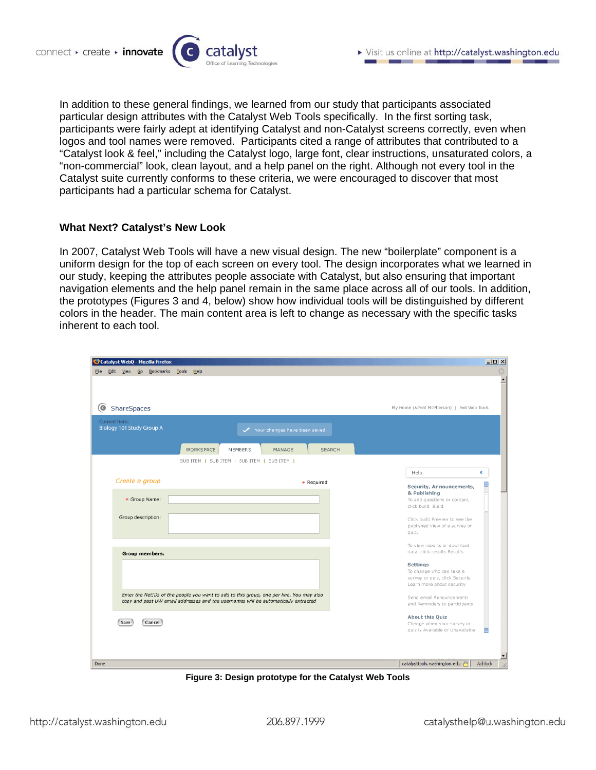

In addition to these general findings, we learned from our study that participants associated particular design attributes with the Catalyst Web Tools specifically. In the first sorting task, participants were fairly adept at identifying Catalyst and non-Catalyst screens correctly, even when logos and tool names were removed. Participants cited a range of attributes that contributed to a "Catalyst look & feel," including the Catalyst logo, large font, clear instructions, unsaturated colors, a "non-commercial" look, clean layout, and a help panel on the right. Although not every tool in the Catalyst suite currently conforms to these criteria, we were encouraged to discover that most participants had a particular schema for Catalyst.

#### **What Next? Catalyst's New Look**

In 2007, Catalyst Web Tools will have a new visual design. The new "boilerplate" component is a uniform design for the top of each screen on every tool. The design incorporates what we learned in our study, keeping the attributes people associate with Catalyst, but also ensuring that important navigation elements and the help panel remain in the same place across all of our tools. In addition, the prototypes (Figures 3 and 4, below) show how individual tools will be distinguished by different colors in the header. The main content area is left to change as necessary with the specific tasks inherent to each tool.

| Catalyst WebQ - Mozilla Firefox                                                                                                                                                |                                                                                                              | $-12X$         |
|--------------------------------------------------------------------------------------------------------------------------------------------------------------------------------|--------------------------------------------------------------------------------------------------------------|----------------|
| Edit View Go Bookmarks Tools<br>Help<br>Eile                                                                                                                                   |                                                                                                              |                |
| (©)<br>ShareSpaces                                                                                                                                                             | My Home (Alfred McPherson)   Exit Web Tools                                                                  |                |
| Current Item:<br>Biology 101 Study Group A<br>Your changes have been saved.<br>WORKSPACE<br><b>MEMBERS</b><br><b>SEARCH</b><br>MANAGE                                          |                                                                                                              |                |
| SUB ITEM   SUB ITEM   SUB ITEM   SUB ITEM                                                                                                                                      |                                                                                                              |                |
| Create a group<br>* Required                                                                                                                                                   | Help<br>Security, Announcements,                                                                             | x<br>$\sim$    |
| * Group Name:                                                                                                                                                                  | & Publishing<br>To add questions or content,<br>click build Build.                                           |                |
| Group description:                                                                                                                                                             | Click build Preview to see the<br>published view of a survey or<br>quiz.                                     |                |
| Group members:                                                                                                                                                                 | To view reports or download<br>data, click results Results.                                                  |                |
|                                                                                                                                                                                | <b>Settings</b><br>To change who can take a<br>survey or quiz, click Security.<br>Learn more about security. |                |
| Enter the NetIDs of the people you want to add to this group, one per line. You may also<br>copy and past UW email addresses and the usernames will be automatically extracted | Send email Announcements<br>and Reminders to participants.                                                   |                |
| Cancel<br>Save                                                                                                                                                                 | <b>About this Quiz</b><br>Change when your survey or<br>quiz is Available or Unavailable                     | ⊡              |
| Done                                                                                                                                                                           | catalysttools.washington.edu                                                                                 | <b>Adblock</b> |

**Figure 3: Design prototype for the Catalyst Web Tools**